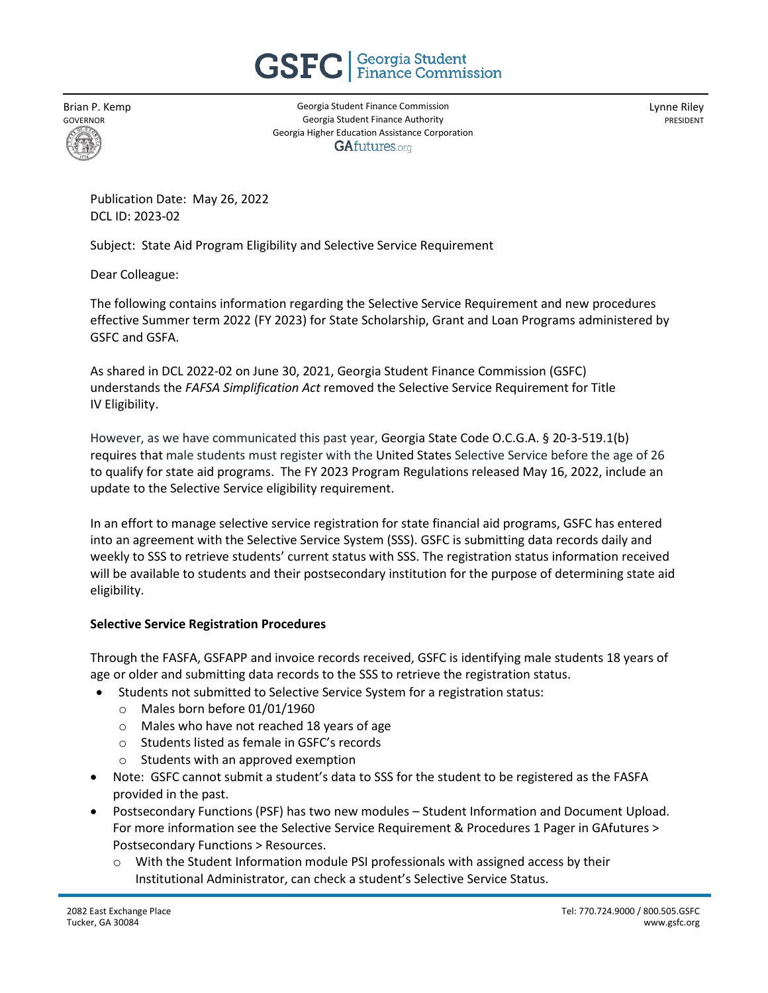

Brian P. Kemp GOVERNOR

Georgia Student Finance Commission Georgia Student Finance Authority Georgia Higher Education Assistance Corporation **GAfutures.org** 

Lynne Riley PRESIDENT

Publication Date: May 26, 2022 DCL ID: 2023-02

Subject: State Aid Program Eligibility and Selective Service Requirement

Dear Colleague:

The following contains information regarding the Selective Service Requirement and new procedures effective Summer term 2022 (FY 2023) for State Scholarship, Grant and Loan Programs administered by GSFC and GSFA.

As shared in DCL 2022-02 on June 30, 2021, Georgia Student Finance Commission (GSFC) understands the *FAFSA Simplification Act* removed the Selective Service Requirement for Title IV Eligibility.

However, as we have communicated this past year, Georgia State Code O.C.G.A. § 20-3-519.1(b) requires that male students must register with the United States Selective Service before the age of 26 to qualify for state aid programs. The FY 2023 Program Regulations released May 16, 2022, include an update to the Selective Service eligibility requirement.

In an effort to manage selective service registration for state financial aid programs, GSFC has entered into an agreement with the Selective Service System (SSS). GSFC is submitting data records daily and weekly to SSS to retrieve students' current status with SSS. The registration status information received will be available to students and their postsecondary institution for the purpose of determining state aid eligibility.

## **Selective Service Registration Procedures**

Through the FASFA, GSFAPP and invoice records received, GSFC is identifying male students 18 years of age or older and submitting data records to the SSS to retrieve the registration status.

- Students not submitted to Selective Service System for a registration status:
	- o Males born before 01/01/1960
	- o Males who have not reached 18 years of age
	- o Students listed as female in GSFC's records
	- o Students with an approved exemption
- Note: GSFC cannot submit a student's data to SSS for the student to be registered as the FASFA provided in the past.
- Postsecondary Functions (PSF) has two new modules Student Information and Document Upload. For more information see the Selective Service Requirement & Procedures 1 Pager in GAfutures > Postsecondary Functions > Resources.
	- $\circ$  With the Student Information module PSI professionals with assigned access by their Institutional Administrator, can check a student's Selective Service Status.